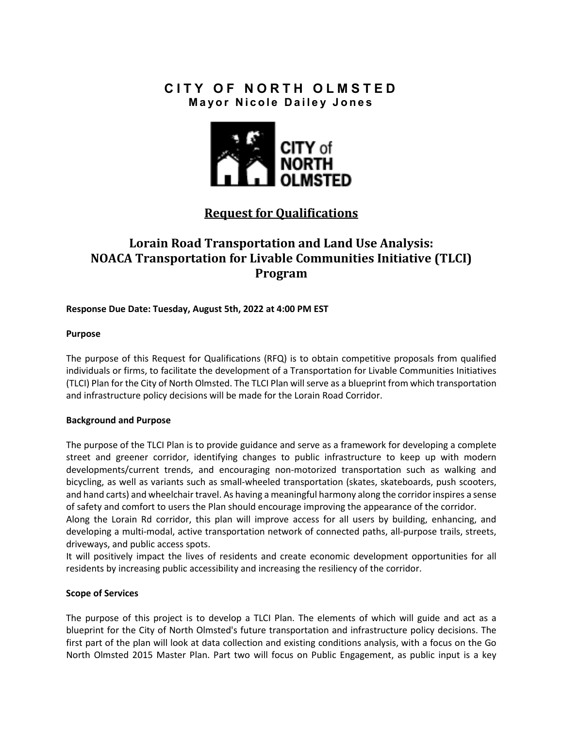## **CITY OF NORTH OLMSTED Mayor Nicole Dailey Jones**



# **Request for Qualifications**

# **Lorain Road Transportation and Land Use Analysis: NOACA Transportation for Livable Communities Initiative (TLCI) Program**

## **Response Due Date: Tuesday, August 5th, 2022 at 4:00 PM EST**

## **Purpose**

The purpose of this Request for Qualifications (RFQ) is to obtain competitive proposals from qualified individuals or firms, to facilitate the development of a Transportation for Livable Communities Initiatives (TLCI) Plan for the City of North Olmsted. The TLCI Plan will serve as a blueprint from which transportation and infrastructure policy decisions will be made for the Lorain Road Corridor.

## **Background and Purpose**

The purpose of the TLCI Plan is to provide guidance and serve as a framework for developing a complete street and greener corridor, identifying changes to public infrastructure to keep up with modern developments/current trends, and encouraging non-motorized transportation such as walking and bicycling, as well as variants such as small-wheeled transportation (skates, skateboards, push scooters, and hand carts) and wheelchair travel. As having a meaningful harmony along the corridor inspires a sense of safety and comfort to users the Plan should encourage improving the appearance of the corridor.

Along the Lorain Rd corridor, this plan will improve access for all users by building, enhancing, and developing a multi-modal, active transportation network of connected paths, all-purpose trails, streets, driveways, and public access spots.

It will positively impact the lives of residents and create economic development opportunities for all residents by increasing public accessibility and increasing the resiliency of the corridor.

## **Scope of Services**

The purpose of this project is to develop a TLCI Plan. The elements of which will guide and act as a blueprint for the City of North Olmsted's future transportation and infrastructure policy decisions. The first part of the plan will look at data collection and existing conditions analysis, with a focus on the Go North Olmsted 2015 Master Plan. Part two will focus on Public Engagement, as public input is a key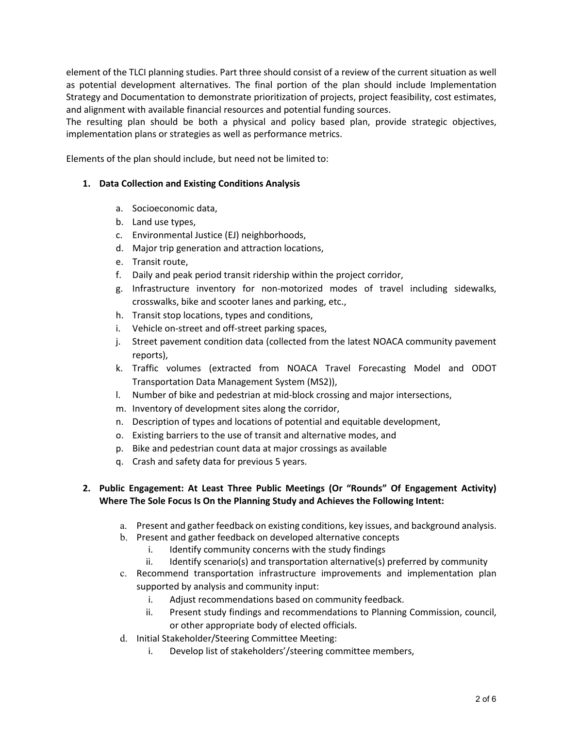element of the TLCI planning studies. Part three should consist of a review of the current situation as well as potential development alternatives. The final portion of the plan should include Implementation Strategy and Documentation to demonstrate prioritization of projects, project feasibility, cost estimates, and alignment with available financial resources and potential funding sources.

The resulting plan should be both a physical and policy based plan, provide strategic objectives, implementation plans or strategies as well as performance metrics.

Elements of the plan should include, but need not be limited to:

## **1. Data Collection and Existing Conditions Analysis**

- a. Socioeconomic data,
- b. Land use types,
- c. Environmental Justice (EJ) neighborhoods,
- d. Major trip generation and attraction locations,
- e. Transit route,
- f. Daily and peak period transit ridership within the project corridor,
- g. Infrastructure inventory for non-motorized modes of travel including sidewalks, crosswalks, bike and scooter lanes and parking, etc.,
- h. Transit stop locations, types and conditions,
- i. Vehicle on-street and off-street parking spaces,
- j. Street pavement condition data (collected from the latest NOACA community pavement reports),
- k. Traffic volumes (extracted from NOACA Travel Forecasting Model and ODOT Transportation Data Management System (MS2)),
- l. Number of bike and pedestrian at mid-block crossing and major intersections,
- m. Inventory of development sites along the corridor,
- n. Description of types and locations of potential and equitable development,
- o. Existing barriers to the use of transit and alternative modes, and
- p. Bike and pedestrian count data at major crossings as available
- q. Crash and safety data for previous 5 years.

## **2. Public Engagement: At Least Three Public Meetings (Or "Rounds" Of Engagement Activity) Where The Sole Focus Is On the Planning Study and Achieves the Following Intent:**

- a. Present and gather feedback on existing conditions, key issues, and background analysis.
- b. Present and gather feedback on developed alternative concepts
	- i. Identify community concerns with the study findings
	- ii. Identify scenario(s) and transportation alternative(s) preferred by community
- c. Recommend transportation infrastructure improvements and implementation plan supported by analysis and community input:
	- i. Adjust recommendations based on community feedback.
	- ii. Present study findings and recommendations to Planning Commission, council, or other appropriate body of elected officials.
- d. Initial Stakeholder/Steering Committee Meeting:
	- i. Develop list of stakeholders'/steering committee members,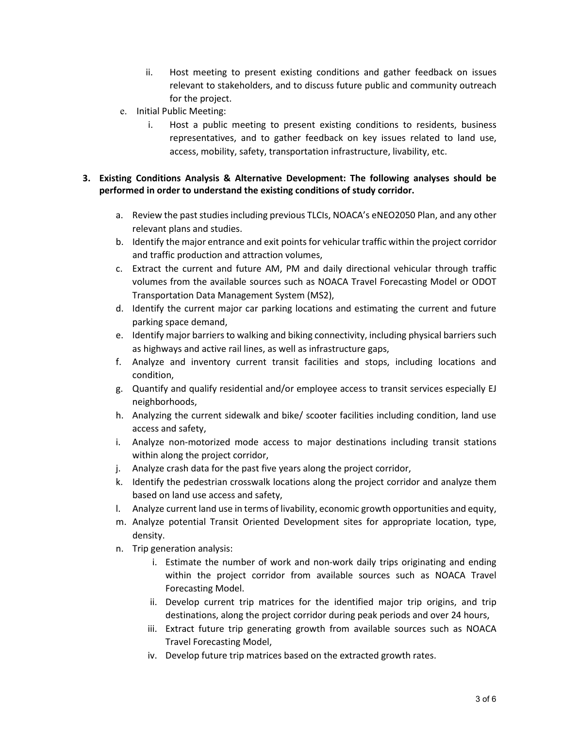- ii. Host meeting to present existing conditions and gather feedback on issues relevant to stakeholders, and to discuss future public and community outreach for the project.
- e. Initial Public Meeting:
	- i. Host a public meeting to present existing conditions to residents, business representatives, and to gather feedback on key issues related to land use, access, mobility, safety, transportation infrastructure, livability, etc.

## **3. Existing Conditions Analysis & Alternative Development: The following analyses should be performed in order to understand the existing conditions of study corridor.**

- a. Review the past studies including previous TLCIs, NOACA's eNEO2050 Plan, and any other relevant plans and studies.
- b. Identify the major entrance and exit points for vehicular traffic within the project corridor and traffic production and attraction volumes,
- c. Extract the current and future AM, PM and daily directional vehicular through traffic volumes from the available sources such as NOACA Travel Forecasting Model or ODOT Transportation Data Management System (MS2),
- d. Identify the current major car parking locations and estimating the current and future parking space demand,
- e. Identify major barriers to walking and biking connectivity, including physical barriers such as highways and active rail lines, as well as infrastructure gaps,
- f. Analyze and inventory current transit facilities and stops, including locations and condition,
- g. Quantify and qualify residential and/or employee access to transit services especially EJ neighborhoods,
- h. Analyzing the current sidewalk and bike/ scooter facilities including condition, land use access and safety,
- i. Analyze non-motorized mode access to major destinations including transit stations within along the project corridor,
- j. Analyze crash data for the past five years along the project corridor,
- k. Identify the pedestrian crosswalk locations along the project corridor and analyze them based on land use access and safety,
- l. Analyze current land use in terms of livability, economic growth opportunities and equity,
- m. Analyze potential Transit Oriented Development sites for appropriate location, type, density.
- n. Trip generation analysis:
	- i. Estimate the number of work and non-work daily trips originating and ending within the project corridor from available sources such as NOACA Travel Forecasting Model.
	- ii. Develop current trip matrices for the identified major trip origins, and trip destinations, along the project corridor during peak periods and over 24 hours,
	- iii. Extract future trip generating growth from available sources such as NOACA Travel Forecasting Model,
	- iv. Develop future trip matrices based on the extracted growth rates.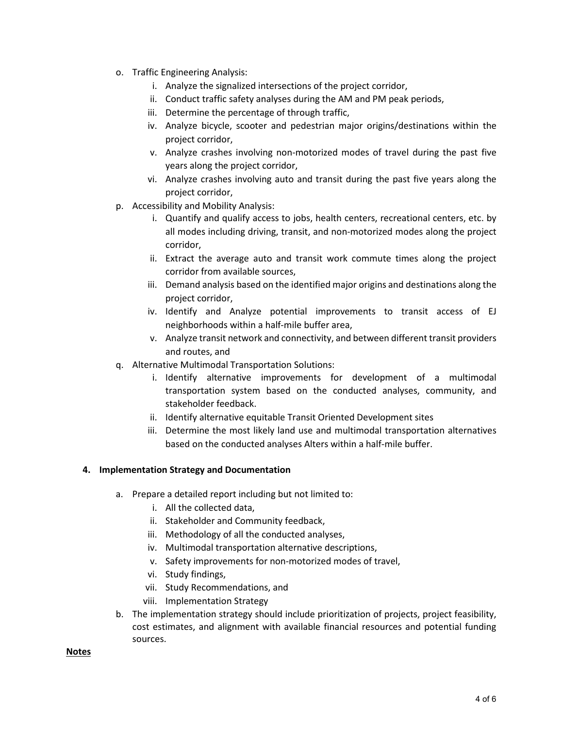- o. Traffic Engineering Analysis:
	- i. Analyze the signalized intersections of the project corridor,
	- ii. Conduct traffic safety analyses during the AM and PM peak periods,
	- iii. Determine the percentage of through traffic,
	- iv. Analyze bicycle, scooter and pedestrian major origins/destinations within the project corridor,
	- v. Analyze crashes involving non-motorized modes of travel during the past five years along the project corridor,
	- vi. Analyze crashes involving auto and transit during the past five years along the project corridor,
- p. Accessibility and Mobility Analysis:
	- i. Quantify and qualify access to jobs, health centers, recreational centers, etc. by all modes including driving, transit, and non-motorized modes along the project corridor,
	- ii. Extract the average auto and transit work commute times along the project corridor from available sources,
	- iii. Demand analysis based on the identified major origins and destinations along the project corridor,
	- iv. Identify and Analyze potential improvements to transit access of EJ neighborhoods within a half-mile buffer area,
	- v. Analyze transit network and connectivity, and between different transit providers and routes, and
- q. Alternative Multimodal Transportation Solutions:
	- i. Identify alternative improvements for development of a multimodal transportation system based on the conducted analyses, community, and stakeholder feedback.
	- ii. Identify alternative equitable Transit Oriented Development sites
	- iii. Determine the most likely land use and multimodal transportation alternatives based on the conducted analyses Alters within a half-mile buffer.

## **4. Implementation Strategy and Documentation**

- a. Prepare a detailed report including but not limited to:
	- i. All the collected data,
	- ii. Stakeholder and Community feedback,
	- iii. Methodology of all the conducted analyses,
	- iv. Multimodal transportation alternative descriptions,
	- v. Safety improvements for non-motorized modes of travel,
	- vi. Study findings,
	- vii. Study Recommendations, and
	- viii. Implementation Strategy
- b. The implementation strategy should include prioritization of projects, project feasibility, cost estimates, and alignment with available financial resources and potential funding sources.

#### **Notes**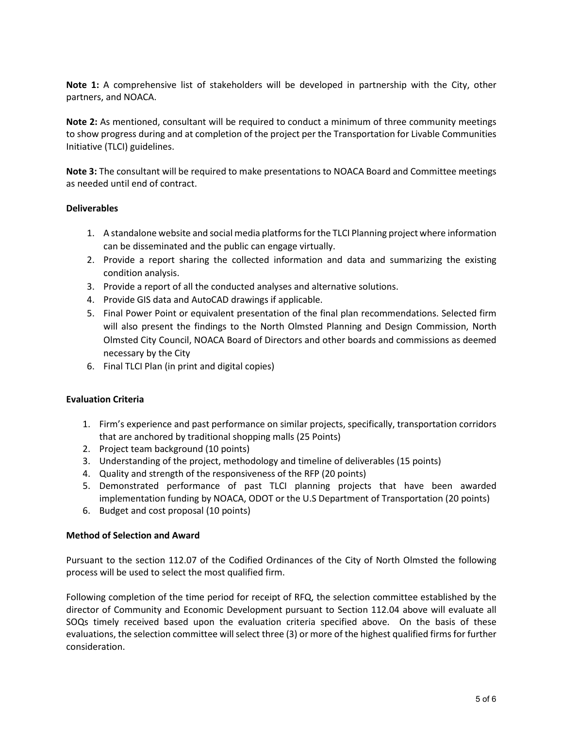**Note 1:** A comprehensive list of stakeholders will be developed in partnership with the City, other partners, and NOACA.

**Note 2:** As mentioned, consultant will be required to conduct a minimum of three community meetings to show progress during and at completion of the project per the Transportation for Livable Communities Initiative (TLCI) guidelines.

**Note 3:** The consultant will be required to make presentations to NOACA Board and Committee meetings as needed until end of contract.

## **Deliverables**

- 1. A standalone website and social media platforms for the TLCI Planning project where information can be disseminated and the public can engage virtually.
- 2. Provide a report sharing the collected information and data and summarizing the existing condition analysis.
- 3. Provide a report of all the conducted analyses and alternative solutions.
- 4. Provide GIS data and AutoCAD drawings if applicable.
- 5. Final Power Point or equivalent presentation of the final plan recommendations. Selected firm will also present the findings to the North Olmsted Planning and Design Commission, North Olmsted City Council, NOACA Board of Directors and other boards and commissions as deemed necessary by the City
- 6. Final TLCI Plan (in print and digital copies)

## **Evaluation Criteria**

- 1. Firm's experience and past performance on similar projects, specifically, transportation corridors that are anchored by traditional shopping malls (25 Points)
- 2. Project team background (10 points)
- 3. Understanding of the project, methodology and timeline of deliverables (15 points)
- 4. Quality and strength of the responsiveness of the RFP (20 points)
- 5. Demonstrated performance of past TLCI planning projects that have been awarded implementation funding by NOACA, ODOT or the U.S Department of Transportation (20 points)
- 6. Budget and cost proposal (10 points)

## **Method of Selection and Award**

Pursuant to the section 112.07 of the Codified Ordinances of the City of North Olmsted the following process will be used to select the most qualified firm.

Following completion of the time period for receipt of RFQ, the selection committee established by the director of Community and Economic Development pursuant to Section 112.04 above will evaluate all SOQs timely received based upon the evaluation criteria specified above. On the basis of these evaluations, the selection committee will select three (3) or more of the highest qualified firms for further consideration.